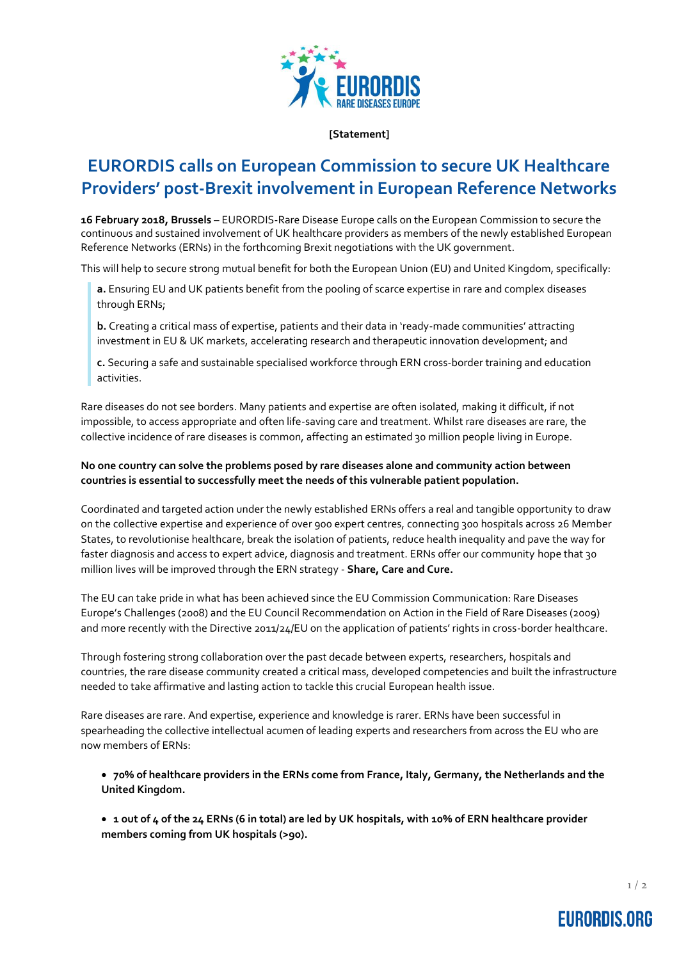

#### **[Statement]**

# **EURORDIS calls on European Commission to secure UK Healthcare Providers' post-Brexit involvement in European Reference Networks**

**16 February 2018, Brussels** – EURORDIS-Rare Disease Europe calls on the European Commission to secure the continuous and sustained involvement of UK healthcare providers as members of the newly established European Reference Networks (ERNs) in the forthcoming Brexit negotiations with the UK government.

This will help to secure strong mutual benefit for both the European Union (EU) and United Kingdom, specifically:

**a.** Ensuring EU and UK patients benefit from the pooling of scarce expertise in rare and complex diseases through ERNs;

**b.** Creating a critical mass of expertise, patients and their data in 'ready-made communities' attracting investment in EU & UK markets, accelerating research and therapeutic innovation development; and

**c.** Securing a safe and sustainable specialised workforce through ERN cross-border training and education activities.

Rare diseases do not see borders. Many patients and expertise are often isolated, making it difficult, if not impossible, to access appropriate and often life-saving care and treatment. Whilst rare diseases are rare, the collective incidence of rare diseases is common, affecting an estimated 30 million people living in Europe.

### **No one country can solve the problems posed by rare diseases alone and community action between countries is essential to successfully meet the needs of this vulnerable patient population.**

Coordinated and targeted action under the newly established ERNs offers a real and tangible opportunity to draw on the collective expertise and experience of over 900 expert centres, connecting 300 hospitals across 26 Member States, to revolutionise healthcare, break the isolation of patients, reduce health inequality and pave the way for faster diagnosis and access to expert advice, diagnosis and treatment. ERNs offer our community hope that 30 million lives will be improved through the ERN strategy - **Share, Care and Cure.**

The EU can take pride in what has been achieved since the EU Commission Communication: Rare Diseases Europe's Challenges (2008) and the EU Council Recommendation on Action in the Field of Rare Diseases (2009) and more recently with the Directive 2011/24/EU on the application of patients' rights in cross-border healthcare.

Through fostering strong collaboration over the past decade between experts, researchers, hospitals and countries, the rare disease community created a critical mass, developed competencies and built the infrastructure needed to take affirmative and lasting action to tackle this crucial European health issue.

Rare diseases are rare. And expertise, experience and knowledge is rarer. ERNs have been successful in spearheading the collective intellectual acumen of leading experts and researchers from across the EU who are now members of ERNs:

 **70% of healthcare providers in the ERNs come from France, Italy, Germany, the Netherlands and the United Kingdom.** 

 **1 out of 4 of the 24 ERNs (6 in total) are led by UK hospitals, with 10% of ERN healthcare provider members coming from UK hospitals (>90).**